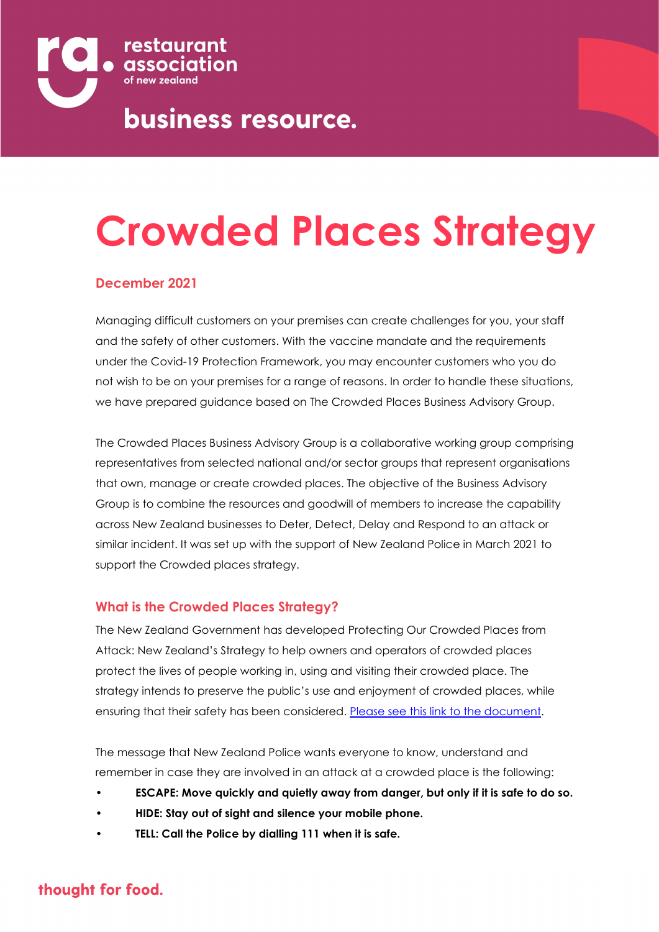

# **Crowded Places Strategy**

### **December 2021**

Managing difficult customers on your premises can create challenges for you, your staff and the safety of other customers. With the vaccine mandate and the requirements under the Covid-19 Protection Framework, you may encounter customers who you do not wish to be on your premises for a range of reasons. In order to handle these situations, we have prepared guidance based on The Crowded Places Business Advisory Group.

The Crowded Places Business Advisory Group is a collaborative working group comprising representatives from selected national and/or sector groups that represent organisations that own, manage or create crowded places. The objective of the Business Advisory Group is to combine the resources and goodwill of members to increase the capability across New Zealand businesses to Deter, Detect, Delay and Respond to an attack or similar incident. It was set up with the support of New Zealand Police in March 2021 to support the Crowded places strategy.

#### **What is the Crowded Places Strategy?**

The New Zealand Government has developed Protecting Our Crowded Places from Attack: New Zealand's Strategy to help owners and operators of crowded places protect the lives of people working in, using and visiting their crowded place. The strategy intends to preserve the public's use and enjoyment of crowded places, while ensuring that their safety has been considered. Please see this link to the document.

The message that New Zealand Police wants everyone to know, understand and remember in case they are involved in an attack at a crowded place is the following:

- **• ESCAPE: Move quickly and quietly away from danger, but only if it is safe to do so.**
- **• HIDE: Stay out of sight and silence your mobile phone.**
- **• TELL: Call the Police by dialling 111 when it is safe.**

## thought for food.